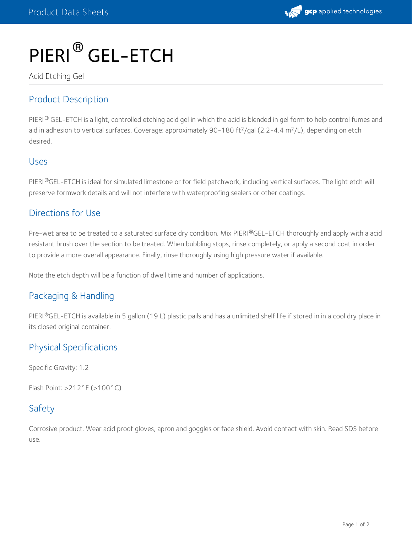

# PIERI<sup>®</sup> GEL-ETCH

Acid Etching Gel

# Product Description

PIERI $^\circledR$  GEL-ETCH is a light, controlled etching acid gel in which the acid is blended in gel form to help control fumes and aid in adhesion to vertical surfaces. Coverage: approximately 90-180 ft<sup>2</sup>/gal (2.2-4.4 m<sup>2</sup>/L), depending on etch desired.

#### Uses

PIERI®GEL-ETCH is ideal for simulated limestone or for field patchwork, including vertical surfaces. The light etch will preserve formwork details and will not interfere with waterproofing sealers or other coatings.

### Directions for Use

Pre-wet area to be treated to a saturated surface dry condition. Mix PIERI®GEL-ETCH thoroughly and apply with a acid resistant brush over the section to be treated. When bubbling stops, rinse completely, or apply a second coat in order to provide a more overall appearance. Finally, rinse thoroughly using high pressure water if available.

Note the etch depth will be a function of dwell time and number of applications.

## Packaging & Handling

PIERI®GEL-ETCH is available in 5 gallon (19 L) plastic pails and has a unlimited shelf life if stored in in a cool dry place in its closed original container.

# Physical Specifications

Specific Gravity: 1.2

Flash Point: >212°F (>100°C)

## Safety

Corrosive product. Wear acid proof gloves, apron and goggles or face shield. Avoid contact with skin. Read SDS before use.